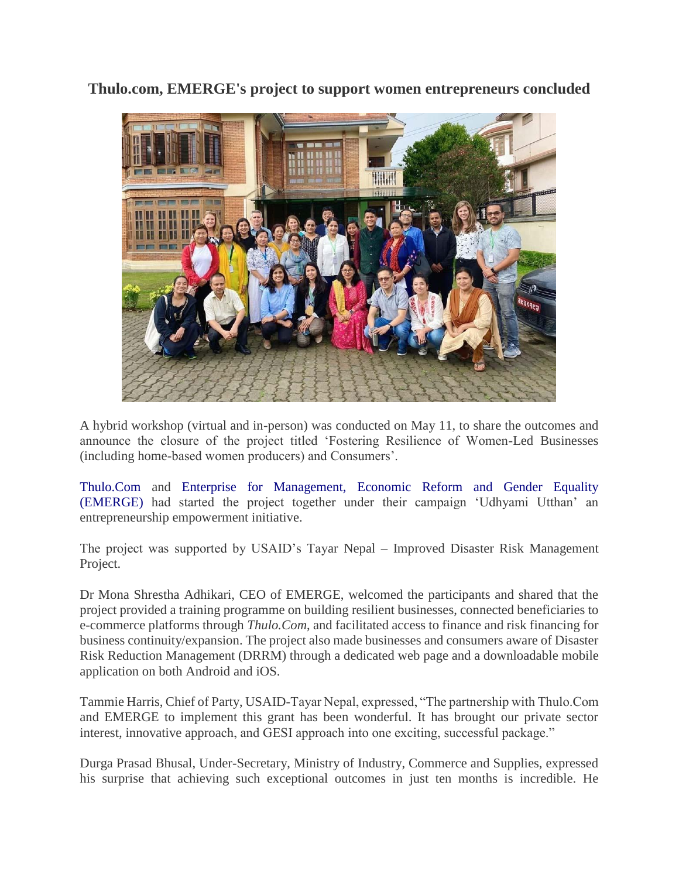**Thulo.com, EMERGE's project to support women entrepreneurs concluded**



A hybrid workshop (virtual and in-person) was conducted on May 11, to share the outcomes and announce the closure of the project titled 'Fostering Resilience of Women-Led Businesses (including home-based women producers) and Consumers'.

[Thulo.Com](https://thulo.com/) and [Enterprise for Management, Economic Reform and Gender Equality](https://www.emergenepal.com/#:~:text=Enterprise%20for%20Management%2C%20Economic%20Reform,sustainable%20change%20in%20people)  [\(EMERGE\)](https://www.emergenepal.com/#:~:text=Enterprise%20for%20Management%2C%20Economic%20Reform,sustainable%20change%20in%20people) had started the project together under their campaign 'Udhyami Utthan' an entrepreneurship empowerment initiative.

The project was supported by USAID's Tayar Nepal – Improved Disaster Risk Management Project.

Dr Mona Shrestha Adhikari, CEO of EMERGE, welcomed the participants and shared that the project provided a training programme on building resilient businesses, connected beneficiaries to e-commerce platforms through *Thulo.Com*, and facilitated access to finance and risk financing for business continuity/expansion. The project also made businesses and consumers aware of Disaster Risk Reduction Management (DRRM) through a dedicated web page and a downloadable mobile application on both Android and iOS.

Tammie Harris, Chief of Party, USAID-Tayar Nepal, expressed, "The partnership with Thulo.Com and EMERGE to implement this grant has been wonderful. It has brought our private sector interest, innovative approach, and GESI approach into one exciting, successful package."

Durga Prasad Bhusal, Under-Secretary, Ministry of Industry, Commerce and Supplies, expressed his surprise that achieving such exceptional outcomes in just ten months is incredible. He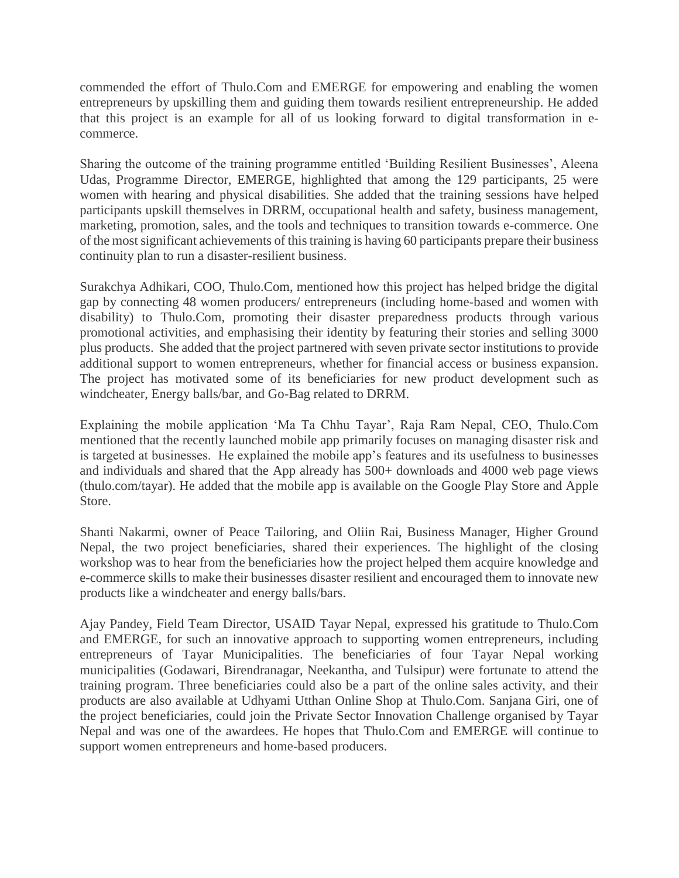commended the effort of Thulo.Com and EMERGE for empowering and enabling the women entrepreneurs by upskilling them and guiding them towards resilient entrepreneurship. He added that this project is an example for all of us looking forward to digital transformation in ecommerce.

Sharing the outcome of the training programme entitled 'Building Resilient Businesses', Aleena Udas, Programme Director, EMERGE, highlighted that among the 129 participants, 25 were women with hearing and physical disabilities. She added that the training sessions have helped participants upskill themselves in DRRM, occupational health and safety, business management, marketing, promotion, sales, and the tools and techniques to transition towards e-commerce. One of the most significant achievements of this training is having 60 participants prepare their business continuity plan to run a disaster-resilient business.

Surakchya Adhikari, COO, Thulo.Com, mentioned how this project has helped bridge the digital gap by connecting 48 women producers/ entrepreneurs (including home-based and women with disability) to Thulo.Com, promoting their disaster preparedness products through various promotional activities, and emphasising their identity by featuring their stories and selling 3000 plus products. She added that the project partnered with seven private sector institutions to provide additional support to women entrepreneurs, whether for financial access or business expansion. The project has motivated some of its beneficiaries for new product development such as windcheater, Energy balls/bar, and Go-Bag related to DRRM.

Explaining the mobile application 'Ma Ta Chhu Tayar', Raja Ram Nepal, CEO, Thulo.Com mentioned that the recently launched mobile app primarily focuses on managing disaster risk and is targeted at businesses. He explained the mobile app's features and its usefulness to businesses and individuals and shared that the App already has 500+ downloads and 4000 web page views (thulo.com/tayar). He added that the mobile app is available on the Google Play Store and Apple Store.

Shanti Nakarmi, owner of Peace Tailoring, and Oliin Rai, Business Manager, Higher Ground Nepal, the two project beneficiaries, shared their experiences. The highlight of the closing workshop was to hear from the beneficiaries how the project helped them acquire knowledge and e-commerce skills to make their businesses disaster resilient and encouraged them to innovate new products like a windcheater and energy balls/bars.

Ajay Pandey, Field Team Director, USAID Tayar Nepal, expressed his gratitude to Thulo.Com and EMERGE, for such an innovative approach to supporting women entrepreneurs, including entrepreneurs of Tayar Municipalities. The beneficiaries of four Tayar Nepal working municipalities (Godawari, Birendranagar, Neekantha, and Tulsipur) were fortunate to attend the training program. Three beneficiaries could also be a part of the online sales activity, and their products are also available at Udhyami Utthan Online Shop at Thulo.Com. Sanjana Giri, one of the project beneficiaries, could join the Private Sector Innovation Challenge organised by Tayar Nepal and was one of the awardees. He hopes that Thulo.Com and EMERGE will continue to support women entrepreneurs and home-based producers.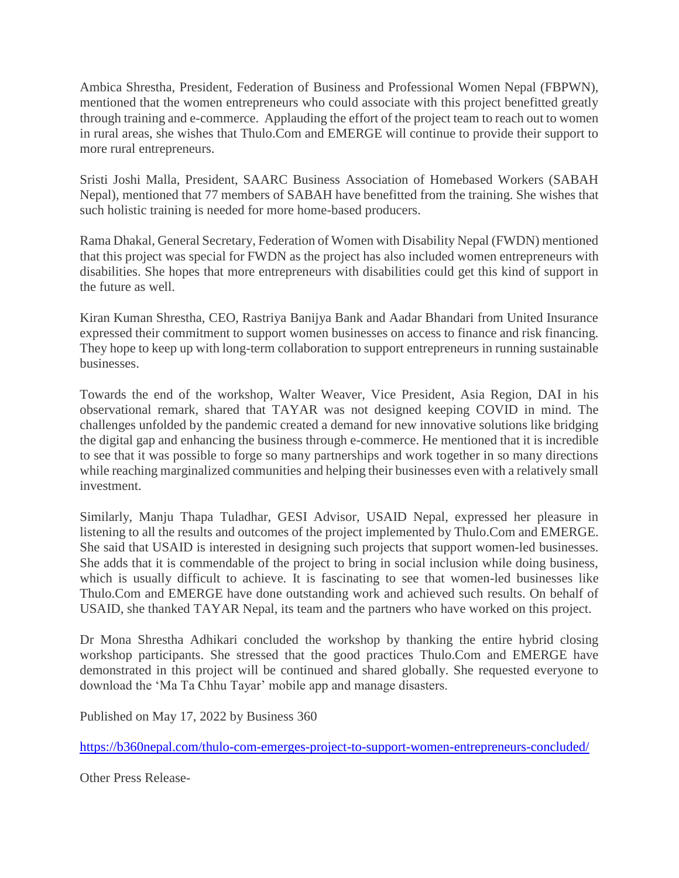Ambica Shrestha, President, Federation of Business and Professional Women Nepal (FBPWN), mentioned that the women entrepreneurs who could associate with this project benefitted greatly through training and e-commerce. Applauding the effort of the project team to reach out to women in rural areas, she wishes that Thulo.Com and EMERGE will continue to provide their support to more rural entrepreneurs.

Sristi Joshi Malla, President, SAARC Business Association of Homebased Workers (SABAH Nepal), mentioned that 77 members of SABAH have benefitted from the training. She wishes that such holistic training is needed for more home-based producers.

Rama Dhakal, General Secretary, Federation of Women with Disability Nepal (FWDN) mentioned that this project was special for FWDN as the project has also included women entrepreneurs with disabilities. She hopes that more entrepreneurs with disabilities could get this kind of support in the future as well.

Kiran Kuman Shrestha, CEO, Rastriya Banijya Bank and Aadar Bhandari from United Insurance expressed their commitment to support women businesses on access to finance and risk financing. They hope to keep up with long-term collaboration to support entrepreneurs in running sustainable businesses.

Towards the end of the workshop, Walter Weaver, Vice President, Asia Region, DAI in his observational remark, shared that TAYAR was not designed keeping COVID in mind. The challenges unfolded by the pandemic created a demand for new innovative solutions like bridging the digital gap and enhancing the business through e-commerce. He mentioned that it is incredible to see that it was possible to forge so many partnerships and work together in so many directions while reaching marginalized communities and helping their businesses even with a relatively small investment.

Similarly, Manju Thapa Tuladhar, GESI Advisor, USAID Nepal, expressed her pleasure in listening to all the results and outcomes of the project implemented by Thulo.Com and EMERGE. She said that USAID is interested in designing such projects that support women-led businesses. She adds that it is commendable of the project to bring in social inclusion while doing business, which is usually difficult to achieve. It is fascinating to see that women-led businesses like Thulo.Com and EMERGE have done outstanding work and achieved such results. On behalf of USAID, she thanked TAYAR Nepal, its team and the partners who have worked on this project.

Dr Mona Shrestha Adhikari concluded the workshop by thanking the entire hybrid closing workshop participants. She stressed that the good practices Thulo.Com and EMERGE have demonstrated in this project will be continued and shared globally. She requested everyone to download the 'Ma Ta Chhu Tayar' mobile app and manage disasters.

Published on May 17, 2022 by Business 360

<https://b360nepal.com/thulo-com-emerges-project-to-support-women-entrepreneurs-concluded/>

Other Press Release-